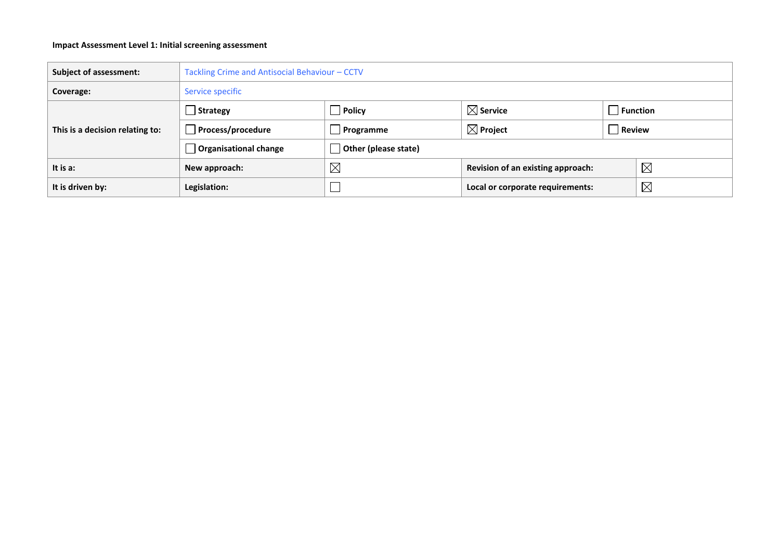## **Impact Assessment Level 1: Initial screening assessment**

| <b>Subject of assessment:</b>   | Tackling Crime and Antisocial Behaviour - CCTV |                      |                                                 |                 |             |  |
|---------------------------------|------------------------------------------------|----------------------|-------------------------------------------------|-----------------|-------------|--|
| Coverage:                       | Service specific                               |                      |                                                 |                 |             |  |
|                                 | $\vert$ Strategy                               | $\Box$ Policy        | $\boxtimes$ Service                             | $\Box$ Function |             |  |
| This is a decision relating to: | Process/procedure                              | $\Box$ Programme     | $\boxtimes$ Project                             | Review          |             |  |
|                                 | Organisational change                          | Other (please state) |                                                 |                 |             |  |
| It is a:                        | New approach:                                  | $\boxtimes$          | Revision of an existing approach:               |                 | $\boxtimes$ |  |
| It is driven by:                | Legislation:                                   |                      | $\boxtimes$<br>Local or corporate requirements: |                 |             |  |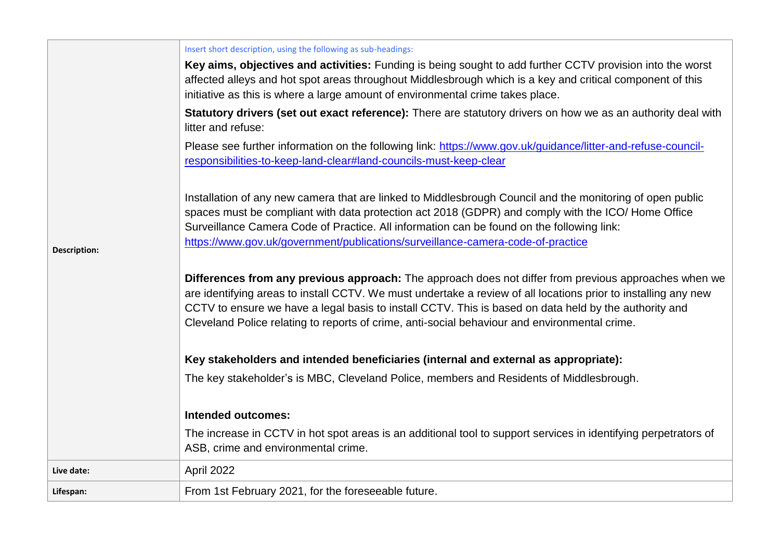|                     | Insert short description, using the following as sub-headings:                                                                                                                                                                                                                                                                                                                                                                    |  |  |  |  |  |
|---------------------|-----------------------------------------------------------------------------------------------------------------------------------------------------------------------------------------------------------------------------------------------------------------------------------------------------------------------------------------------------------------------------------------------------------------------------------|--|--|--|--|--|
|                     | Key aims, objectives and activities: Funding is being sought to add further CCTV provision into the worst<br>affected alleys and hot spot areas throughout Middlesbrough which is a key and critical component of this<br>initiative as this is where a large amount of environmental crime takes place.                                                                                                                          |  |  |  |  |  |
|                     | Statutory drivers (set out exact reference): There are statutory drivers on how we as an authority deal with<br>litter and refuse:                                                                                                                                                                                                                                                                                                |  |  |  |  |  |
|                     | Please see further information on the following link: https://www.gov.uk/guidance/litter-and-refuse-council-<br>responsibilities-to-keep-land-clear#land-councils-must-keep-clear                                                                                                                                                                                                                                                 |  |  |  |  |  |
| <b>Description:</b> | Installation of any new camera that are linked to Middlesbrough Council and the monitoring of open public<br>spaces must be compliant with data protection act 2018 (GDPR) and comply with the ICO/ Home Office<br>Surveillance Camera Code of Practice. All information can be found on the following link:<br>https://www.gov.uk/government/publications/surveillance-camera-code-of-practice                                   |  |  |  |  |  |
|                     | Differences from any previous approach: The approach does not differ from previous approaches when we<br>are identifying areas to install CCTV. We must undertake a review of all locations prior to installing any new<br>CCTV to ensure we have a legal basis to install CCTV. This is based on data held by the authority and<br>Cleveland Police relating to reports of crime, anti-social behaviour and environmental crime. |  |  |  |  |  |
|                     | Key stakeholders and intended beneficiaries (internal and external as appropriate):                                                                                                                                                                                                                                                                                                                                               |  |  |  |  |  |
|                     | The key stakeholder's is MBC, Cleveland Police, members and Residents of Middlesbrough.                                                                                                                                                                                                                                                                                                                                           |  |  |  |  |  |
|                     | <b>Intended outcomes:</b>                                                                                                                                                                                                                                                                                                                                                                                                         |  |  |  |  |  |
|                     | The increase in CCTV in hot spot areas is an additional tool to support services in identifying perpetrators of<br>ASB, crime and environmental crime.                                                                                                                                                                                                                                                                            |  |  |  |  |  |
| Live date:          | April 2022                                                                                                                                                                                                                                                                                                                                                                                                                        |  |  |  |  |  |
| Lifespan:           | From 1st February 2021, for the foreseeable future.                                                                                                                                                                                                                                                                                                                                                                               |  |  |  |  |  |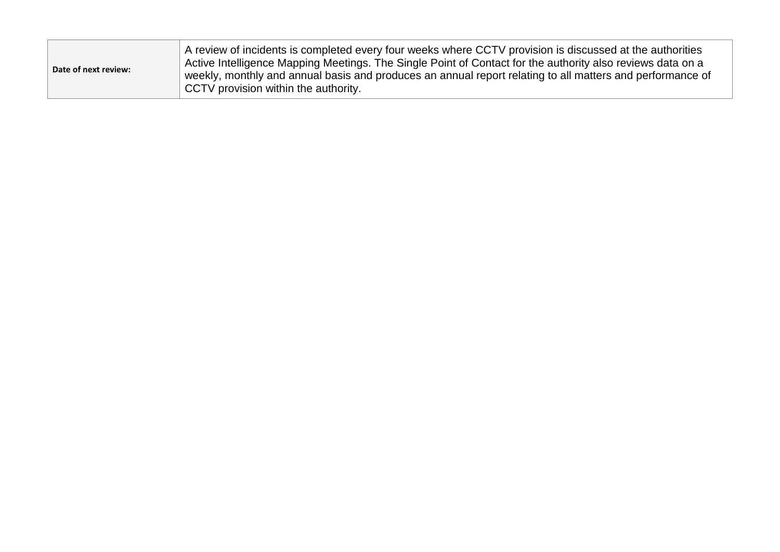| Date of next review: | A review of incidents is completed every four weeks where CCTV provision is discussed at the authorities<br>Active Intelligence Mapping Meetings. The Single Point of Contact for the authority also reviews data on a<br>weekly, monthly and annual basis and produces an annual report relating to all matters and performance of<br>CCTV provision within the authority. |
|----------------------|-----------------------------------------------------------------------------------------------------------------------------------------------------------------------------------------------------------------------------------------------------------------------------------------------------------------------------------------------------------------------------|
|----------------------|-----------------------------------------------------------------------------------------------------------------------------------------------------------------------------------------------------------------------------------------------------------------------------------------------------------------------------------------------------------------------------|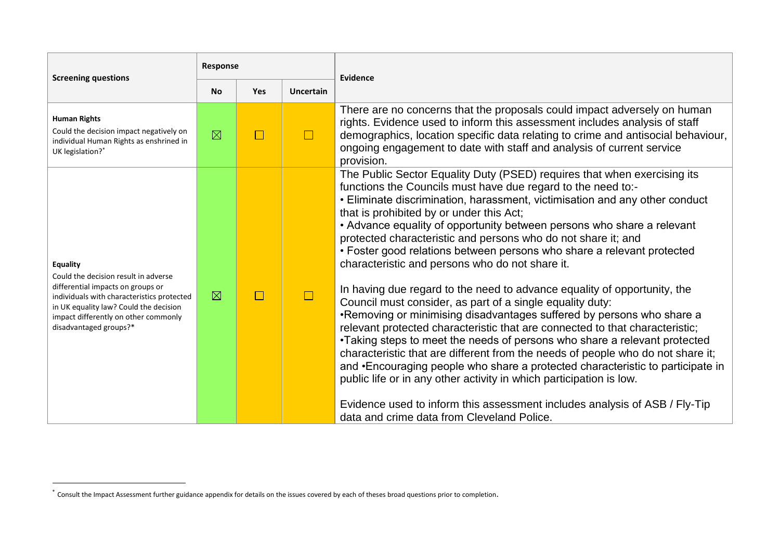| <b>Screening questions</b>                                                                                                                                                                                                                      | Response    |               |                  | Evidence                                                                                                                                                                                                                                                                                                                                                                                                                                                                                                                                                                                                                                                                                                                                                                                                                                                                                                                                                                                                                                                                                                                                                                                                                                                                                            |  |
|-------------------------------------------------------------------------------------------------------------------------------------------------------------------------------------------------------------------------------------------------|-------------|---------------|------------------|-----------------------------------------------------------------------------------------------------------------------------------------------------------------------------------------------------------------------------------------------------------------------------------------------------------------------------------------------------------------------------------------------------------------------------------------------------------------------------------------------------------------------------------------------------------------------------------------------------------------------------------------------------------------------------------------------------------------------------------------------------------------------------------------------------------------------------------------------------------------------------------------------------------------------------------------------------------------------------------------------------------------------------------------------------------------------------------------------------------------------------------------------------------------------------------------------------------------------------------------------------------------------------------------------------|--|
|                                                                                                                                                                                                                                                 | <b>No</b>   | Yes           | <b>Uncertain</b> |                                                                                                                                                                                                                                                                                                                                                                                                                                                                                                                                                                                                                                                                                                                                                                                                                                                                                                                                                                                                                                                                                                                                                                                                                                                                                                     |  |
| <b>Human Rights</b><br>Could the decision impact negatively on<br>individual Human Rights as enshrined in<br>UK legislation?*                                                                                                                   | $\boxtimes$ | $\sim$        | $\Box$           | There are no concerns that the proposals could impact adversely on human<br>rights. Evidence used to inform this assessment includes analysis of staff<br>demographics, location specific data relating to crime and antisocial behaviour,<br>ongoing engagement to date with staff and analysis of current service<br>provision.                                                                                                                                                                                                                                                                                                                                                                                                                                                                                                                                                                                                                                                                                                                                                                                                                                                                                                                                                                   |  |
| Equality<br>Could the decision result in adverse<br>differential impacts on groups or<br>individuals with characteristics protected<br>in UK equality law? Could the decision<br>impact differently on other commonly<br>disadvantaged groups?* | $\boxtimes$ | $\sim$ $\sim$ |                  | The Public Sector Equality Duty (PSED) requires that when exercising its<br>functions the Councils must have due regard to the need to:-<br>• Eliminate discrimination, harassment, victimisation and any other conduct<br>that is prohibited by or under this Act;<br>• Advance equality of opportunity between persons who share a relevant<br>protected characteristic and persons who do not share it; and<br>• Foster good relations between persons who share a relevant protected<br>characteristic and persons who do not share it.<br>In having due regard to the need to advance equality of opportunity, the<br>Council must consider, as part of a single equality duty:<br>•Removing or minimising disadvantages suffered by persons who share a<br>relevant protected characteristic that are connected to that characteristic;<br>•Taking steps to meet the needs of persons who share a relevant protected<br>characteristic that are different from the needs of people who do not share it;<br>and • Encouraging people who share a protected characteristic to participate in<br>public life or in any other activity in which participation is low.<br>Evidence used to inform this assessment includes analysis of ASB / Fly-Tip<br>data and crime data from Cleveland Police. |  |

1

<sup>\*</sup> Consult the Impact Assessment further guidance appendix for details on the issues covered by each of theses broad questions prior to completion.